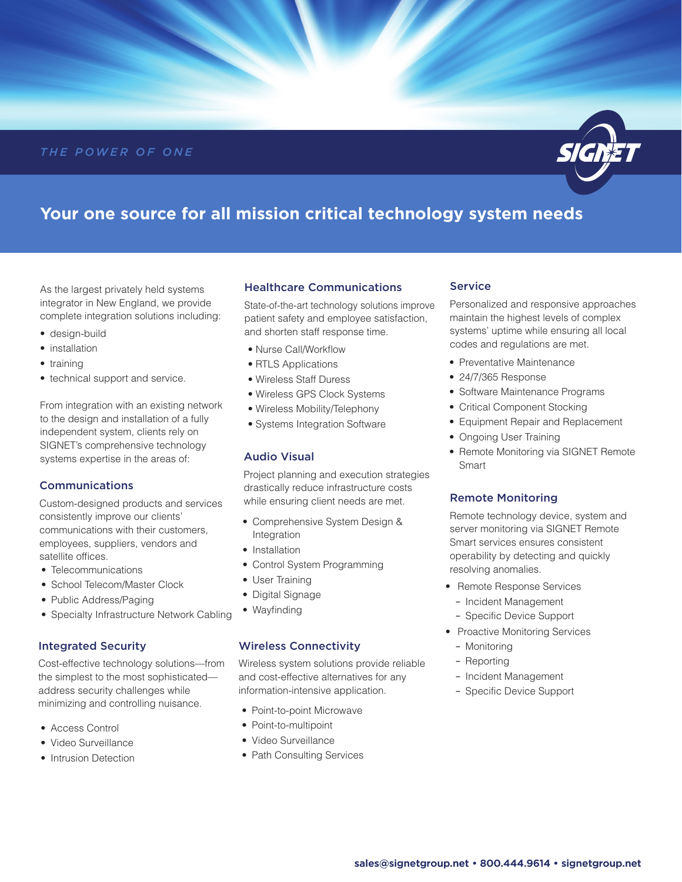## *THE POWER OF ONE*



# **Your one source for all mission critical technology system needs**

As the largest privately held systems integrator in New England, we provide complete integration solutions including:

- design-build
- installation
- training
- technical support and service.

From integration with an existing network to the design and installation of a fully independent system, clients rely on SIGNET's comprehensive technology systems expertise in the areas of:

#### Communications

Custom-designed products and services consistently improve our clients' communications with their customers, employees, suppliers, vendors and satellite offices.

- Telecommunications
- School Telecom/Master Clock
- Public Address/Paging
- Specialty Infrastructure Network Cabling

#### Integrated Security

Cost-effective technology solutions—from the simplest to the most sophisticated address security challenges while minimizing and controlling nuisance.

- Access Control
- Video Surveillance
- Intrusion Detection

### Healthcare Communications

State-of-the-art technology solutions improve patient safety and employee satisfaction, and shorten staff response time.

- Nurse Call/Workflow
- RTLS Applications
- Wireless Staff Duress
- Wireless GPS Clock Systems
- Wireless Mobility/Telephony
- Systems Integration Software

#### Audio Visual

Project planning and execution strategies drastically reduce infrastructure costs while ensuring client needs are met.

- Comprehensive System Design & Integration
- Installation
- Control System Programming
- User Training
- Digital Signage
- Wayfinding

#### Wireless Connectivity

Wireless system solutions provide reliable and cost-effective alternatives for any information-intensive application.

- Point-to-point Microwave
- Point-to-multipoint
- Video Surveillance
- Path Consulting Services

#### **Service**

Personalized and responsive approaches maintain the highest levels of complex systems' uptime while ensuring all local codes and regulations are met.

- Preventative Maintenance
- 24/7/365 Response
- Software Maintenance Programs
- Critical Component Stocking
- Equipment Repair and Replacement
- Ongoing User Training
- Remote Monitoring via SIGNET Remote Smart

#### Remote Monitoring

Remote technology device, system and server monitoring via SIGNET Remote Smart services ensures consistent operability by detecting and quickly resolving anomalies.

- Remote Response Services
	- Incident Management
	- Specific Device Support
- Proactive Monitoring Services
	- Monitoring
	- Reporting
	- Incident Management
	- Specific Device Support